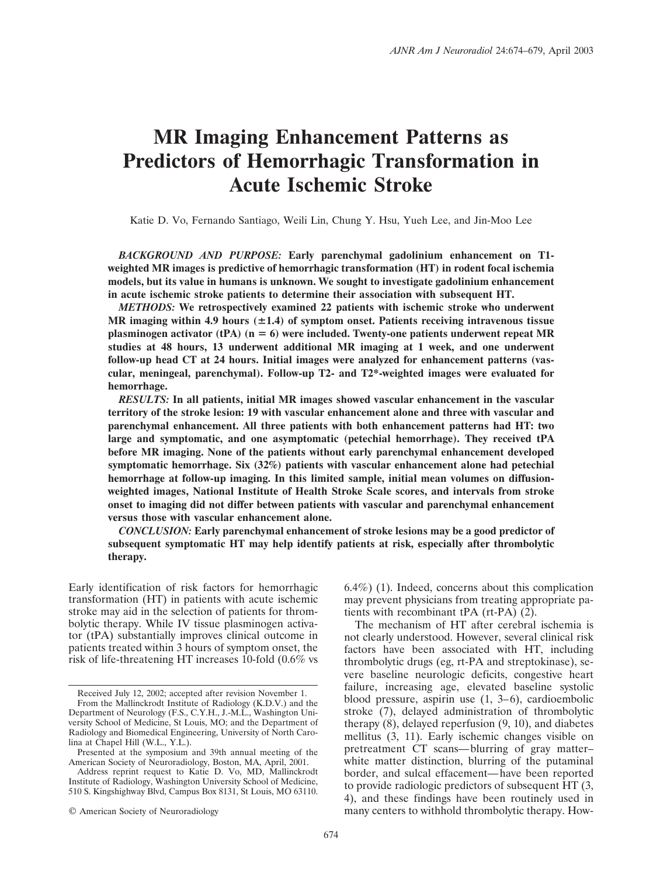# **MR Imaging Enhancement Patterns as Predictors of Hemorrhagic Transformation in Acute Ischemic Stroke**

Katie D. Vo, Fernando Santiago, Weili Lin, Chung Y. Hsu, Yueh Lee, and Jin-Moo Lee

*BACKGROUND AND PURPOSE:* **Early parenchymal gadolinium enhancement on T1 weighted MR images is predictive of hemorrhagic transformation (HT) in rodent focal ischemia models, but its value in humans is unknown. We sought to investigate gadolinium enhancement in acute ischemic stroke patients to determine their association with subsequent HT.**

*METHODS:* **We retrospectively examined 22 patients with ischemic stroke who underwent MR imaging within 4.9 hours (1.4) of symptom onset. Patients receiving intravenous tissue plasminogen activator (tPA) (n** - **6) were included. Twenty-one patients underwent repeat MR studies at 48 hours, 13 underwent additional MR imaging at 1 week, and one underwent follow-up head CT at 24 hours. Initial images were analyzed for enhancement patterns (vascular, meningeal, parenchymal). Follow-up T2- and T2\*-weighted images were evaluated for hemorrhage.**

*RESULTS:* **In all patients, initial MR images showed vascular enhancement in the vascular territory of the stroke lesion: 19 with vascular enhancement alone and three with vascular and parenchymal enhancement. All three patients with both enhancement patterns had HT: two large and symptomatic, and one asymptomatic (petechial hemorrhage). They received tPA before MR imaging. None of the patients without early parenchymal enhancement developed symptomatic hemorrhage. Six (32%) patients with vascular enhancement alone had petechial hemorrhage at follow-up imaging. In this limited sample, initial mean volumes on diffusionweighted images, National Institute of Health Stroke Scale scores, and intervals from stroke onset to imaging did not differ between patients with vascular and parenchymal enhancement versus those with vascular enhancement alone.**

*CONCLUSION:* **Early parenchymal enhancement of stroke lesions may be a good predictor of subsequent symptomatic HT may help identify patients at risk, especially after thrombolytic therapy.**

Early identification of risk factors for hemorrhagic transformation (HT) in patients with acute ischemic stroke may aid in the selection of patients for thrombolytic therapy. While IV tissue plasminogen activator (tPA) substantially improves clinical outcome in patients treated within 3 hours of symptom onset, the risk of life-threatening HT increases 10-fold (0.6% vs

From the Mallinckrodt Institute of Radiology (K.D.V.) and the Department of Neurology (F.S., C.Y.H., J.-M.L., Washington University School of Medicine, St Louis, MO; and the Department of Radiology and Biomedical Engineering, University of North Carolina at Chapel Hill (W.L., Y.L.).

© American Society of Neuroradiology

6.4%) (1). Indeed, concerns about this complication may prevent physicians from treating appropriate patients with recombinant tPA (rt-PA) (2).

The mechanism of HT after cerebral ischemia is not clearly understood. However, several clinical risk factors have been associated with HT, including thrombolytic drugs (eg, rt-PA and streptokinase), severe baseline neurologic deficits, congestive heart failure, increasing age, elevated baseline systolic blood pressure, aspirin use (1, 3–6), cardioembolic stroke (7), delayed administration of thrombolytic therapy (8), delayed reperfusion (9, 10), and diabetes mellitus (3, 11). Early ischemic changes visible on pretreatment CT scans—blurring of gray matter– white matter distinction, blurring of the putaminal border, and sulcal effacement—have been reported to provide radiologic predictors of subsequent HT (3, 4), and these findings have been routinely used in many centers to withhold thrombolytic therapy. How-

Received July 12, 2002; accepted after revision November 1.

Presented at the symposium and 39th annual meeting of the American Society of Neuroradiology, Boston, MA, April, 2001.

Address reprint request to Katie D. Vo, MD, Mallinckrodt Institute of Radiology, Washington University School of Medicine, 510 S. Kingshighway Blvd, Campus Box 8131, St Louis, MO 63110.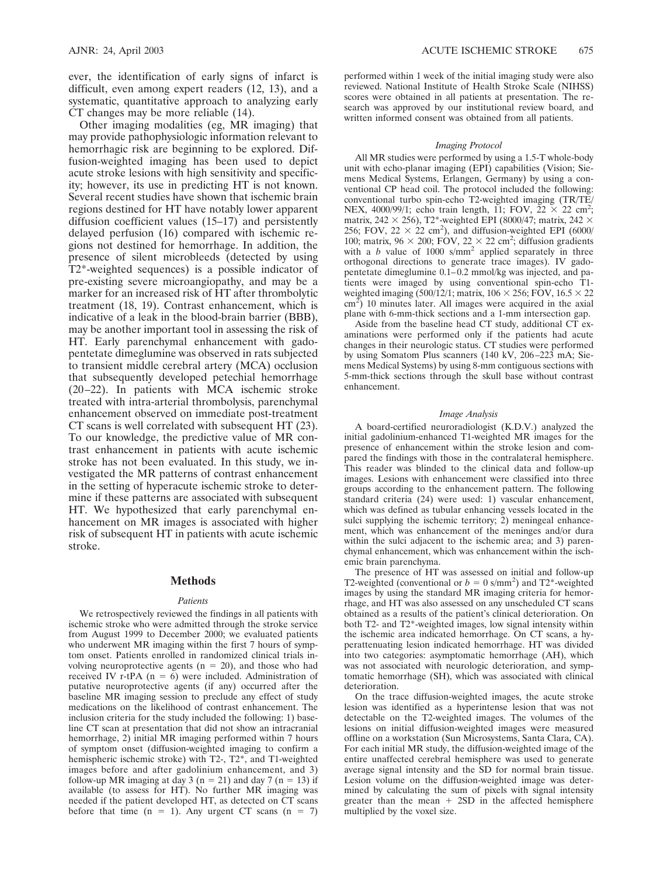ever, the identification of early signs of infarct is difficult, even among expert readers (12, 13), and a systematic, quantitative approach to analyzing early CT changes may be more reliable (14).

Other imaging modalities (eg, MR imaging) that may provide pathophysiologic information relevant to hemorrhagic risk are beginning to be explored. Diffusion-weighted imaging has been used to depict acute stroke lesions with high sensitivity and specificity; however, its use in predicting HT is not known. Several recent studies have shown that ischemic brain regions destined for HT have notably lower apparent diffusion coefficient values (15–17) and persistently delayed perfusion (16) compared with ischemic regions not destined for hemorrhage. In addition, the presence of silent microbleeds (detected by using T2\*-weighted sequences) is a possible indicator of pre-existing severe microangiopathy, and may be a marker for an increased risk of HT after thrombolytic treatment (18, 19). Contrast enhancement, which is indicative of a leak in the blood-brain barrier (BBB), may be another important tool in assessing the risk of HT. Early parenchymal enhancement with gadopentetate dimeglumine was observed in rats subjected to transient middle cerebral artery (MCA) occlusion that subsequently developed petechial hemorrhage (20–22). In patients with MCA ischemic stroke treated with intra-arterial thrombolysis, parenchymal enhancement observed on immediate post-treatment CT scans is well correlated with subsequent HT (23). To our knowledge, the predictive value of MR contrast enhancement in patients with acute ischemic stroke has not been evaluated. In this study, we investigated the MR patterns of contrast enhancement in the setting of hyperacute ischemic stroke to determine if these patterns are associated with subsequent HT. We hypothesized that early parenchymal enhancement on MR images is associated with higher risk of subsequent HT in patients with acute ischemic stroke.

## **Methods**

## *Patients*

We retrospectively reviewed the findings in all patients with ischemic stroke who were admitted through the stroke service from August 1999 to December 2000; we evaluated patients who underwent MR imaging within the first 7 hours of symptom onset. Patients enrolled in randomized clinical trials involving neuroprotective agents ( $n = 20$ ), and those who had received IV r-tPA ( $n = 6$ ) were included. Administration of putative neuroprotective agents (if any) occurred after the baseline MR imaging session to preclude any effect of study medications on the likelihood of contrast enhancement. The inclusion criteria for the study included the following: 1) baseline CT scan at presentation that did not show an intracranial hemorrhage, 2) initial MR imaging performed within 7 hours of symptom onset (diffusion-weighted imaging to confirm a hemispheric ischemic stroke) with T2-, T2\*, and T1-weighted images before and after gadolinium enhancement, and 3) follow-up MR imaging at day 3 ( $n = 21$ ) and day 7 ( $n = 13$ ) if available (to assess for HT). No further MR imaging was needed if the patient developed HT, as detected on CT scans before that time  $(n = 1)$ . Any urgent CT scans  $(n = 7)$ 

performed within 1 week of the initial imaging study were also reviewed. National Institute of Health Stroke Scale (NIHSS) scores were obtained in all patients at presentation. The research was approved by our institutional review board, and written informed consent was obtained from all patients.

#### *Imaging Protocol*

All MR studies were performed by using a 1.5-T whole-body unit with echo-planar imaging (EPI) capabilities (Vision; Siemens Medical Systems, Erlangen, Germany) by using a conventional CP head coil. The protocol included the following: conventional turbo spin-echo T2-weighted imaging (TR/TE/ NEX, 4000/99/1; echo train length, 11; FOV,  $22 \times 22$  cm<sup>2</sup>; matrix, 242  $\times$  256), T2\*-weighted EPI (8000/47; matrix, 242  $\times$ 256; FOV, 22  $\times$  22 cm<sup>2</sup>), and diffusion-weighted EPI (6000/ 100; matrix,  $96 \times 200$ ; FOV,  $22 \times 22$  cm<sup>2</sup>; diffusion gradients with a *b* value of 1000 s/mm<sup>2</sup> applied separately in three orthogonal directions to generate trace images). IV gadopentetate dimeglumine 0.1–0.2 mmol/kg was injected, and patients were imaged by using conventional spin-echo T1 weighted imaging (500/12/1; matrix, 106  $\times$  256; FOV, 16.5  $\times$  22  $\text{cm}^2$ ) 10 minutes later. All images were acquired in the axial plane with 6-mm-thick sections and a 1-mm intersection gap.

Aside from the baseline head CT study, additional CT examinations were performed only if the patients had acute changes in their neurologic status. CT studies were performed by using Somatom Plus scanners (140 kV, 206–223 mA; Siemens Medical Systems) by using 8-mm contiguous sections with 5-mm-thick sections through the skull base without contrast enhancement.

### *Image Analysis*

A board-certified neuroradiologist (K.D.V.) analyzed the initial gadolinium-enhanced T1-weighted MR images for the presence of enhancement within the stroke lesion and compared the findings with those in the contralateral hemisphere. This reader was blinded to the clinical data and follow-up images. Lesions with enhancement were classified into three groups according to the enhancement pattern. The following standard criteria (24) were used: 1) vascular enhancement, which was defined as tubular enhancing vessels located in the sulci supplying the ischemic territory; 2) meningeal enhancement, which was enhancement of the meninges and/or dura within the sulci adjacent to the ischemic area; and 3) parenchymal enhancement, which was enhancement within the ischemic brain parenchyma.

The presence of HT was assessed on initial and follow-up T2-weighted (conventional or  $b = 0$  s/mm<sup>2</sup>) and T2<sup>\*</sup>-weighted images by using the standard MR imaging criteria for hemorrhage, and HT was also assessed on any unscheduled CT scans obtained as a results of the patient's clinical deterioration. On both T2- and T2\*-weighted images, low signal intensity within the ischemic area indicated hemorrhage. On CT scans, a hyperattenuating lesion indicated hemorrhage. HT was divided into two categories: asymptomatic hemorrhage (AH), which was not associated with neurologic deterioration, and symptomatic hemorrhage (SH), which was associated with clinical deterioration.

On the trace diffusion-weighted images, the acute stroke lesion was identified as a hyperintense lesion that was not detectable on the T2-weighted images. The volumes of the lesions on initial diffusion-weighted images were measured offline on a workstation (Sun Microsystems, Santa Clara, CA). For each initial MR study, the diffusion-weighted image of the entire unaffected cerebral hemisphere was used to generate average signal intensity and the SD for normal brain tissue. Lesion volume on the diffusion-weighted image was determined by calculating the sum of pixels with signal intensity greater than the mean  $+$  2SD in the affected hemisphere multiplied by the voxel size.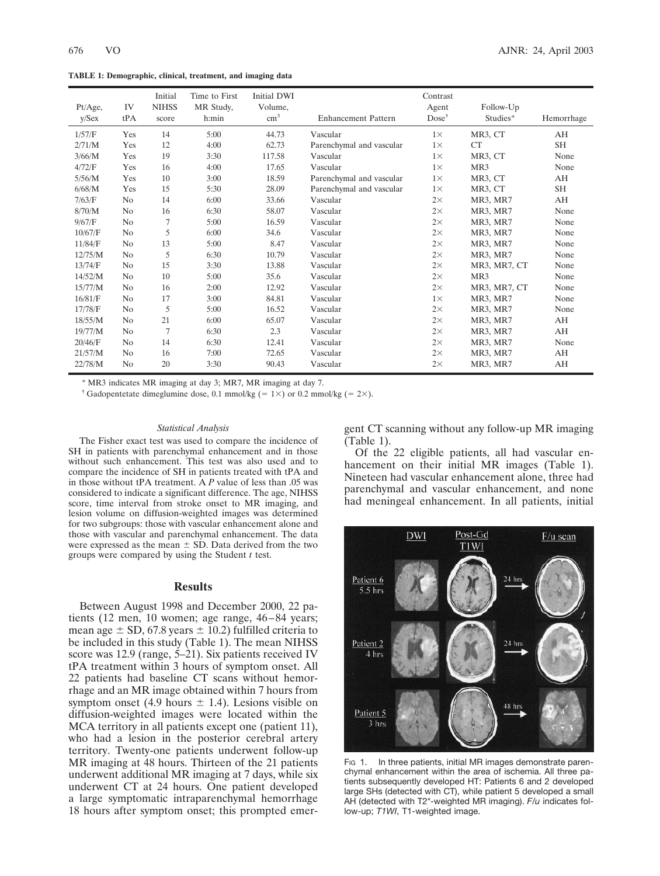**TABLE 1: Demographic, clinical, treatment, and imaging data**

| Pt/Age,<br>y/Sex | IV<br>tPA      | Initial<br><b>NIHSS</b><br>score | Time to First<br>MR Study,<br>h: min | Initial DWI<br>Volume,<br>$\text{cm}^3$ | <b>Enhancement Pattern</b> | Contrast<br>Agent<br>$Dose^{\dagger}$ | Follow-Up<br>Studies* | Hemorrhage |
|------------------|----------------|----------------------------------|--------------------------------------|-----------------------------------------|----------------------------|---------------------------------------|-----------------------|------------|
| 1/57/F           | Yes            | 14                               | 5:00                                 | 44.73                                   | Vascular                   | $1\times$                             | MR3, CT               | AH         |
| 2/71/M           | Yes            | 12                               | 4:00                                 | 62.73                                   | Parenchymal and vascular   | $1\times$                             | CT                    | <b>SH</b>  |
| 3/66/M           | Yes            | 19                               | 3:30                                 | 117.58                                  | Vascular                   | $1\times$                             | MR3, CT               | None       |
| 4/72/F           | Yes            | 16                               | 4:00                                 | 17.65                                   | Vascular                   | $1\times$                             | MR <sub>3</sub>       | None       |
| 5/56/M           | Yes            | 10                               | 3:00                                 | 18.59                                   | Parenchymal and vascular   | $1\times$                             | MR3, CT               | AH         |
| 6/68/M           | Yes            | 15                               | 5:30                                 | 28.09                                   | Parenchymal and vascular   | $1\times$                             | MR3, CT               | <b>SH</b>  |
| 7/63/F           | N <sub>0</sub> | 14                               | 6:00                                 | 33.66                                   | Vascular                   | $2\times$                             | MR3, MR7              | AH         |
| 8/70/M           | N <sub>0</sub> | 16                               | 6:30                                 | 58.07                                   | Vascular                   | $2\times$                             | MR3, MR7              | None       |
| 9/67/F           | N <sub>0</sub> | 7                                | 5:00                                 | 16.59                                   | Vascular                   | $2\times$                             | MR3, MR7              | None       |
| 10/67/F          | N <sub>0</sub> | 5                                | 6:00                                 | 34.6                                    | Vascular                   | $2\times$                             | MR3, MR7              | None       |
| 11/84/F          | N <sub>0</sub> | 13                               | 5:00                                 | 8.47                                    | Vascular                   | $2\times$                             | MR3, MR7              | None       |
| 12/75/M          | N <sub>0</sub> | 5                                | 6:30                                 | 10.79                                   | Vascular                   | $2\times$                             | MR3, MR7              | None       |
| 13/74/F          | N <sub>0</sub> | 15                               | 3:30                                 | 13.88                                   | Vascular                   | $2\times$                             | MR3, MR7, CT          | None       |
| 14/52/M          | N <sub>0</sub> | 10                               | 5:00                                 | 35.6                                    | Vascular                   | $2\times$                             | MR <sub>3</sub>       | None       |
| 15/77/M          | N <sub>0</sub> | 16                               | 2:00                                 | 12.92                                   | Vascular                   | $2\times$                             | MR3, MR7, CT          | None       |
| 16/81/F          | N <sub>0</sub> | 17                               | 3:00                                 | 84.81                                   | Vascular                   | $1\times$                             | MR3, MR7              | None       |
| 17/78/F          | No             | 5                                | 5:00                                 | 16.52                                   | Vascular                   | $2\times$                             | MR3, MR7              | None       |
| 18/55/M          | N <sub>0</sub> | 21                               | 6:00                                 | 65.07                                   | Vascular                   | $2\times$                             | MR3, MR7              | AH         |
| 19/77/M          | N <sub>0</sub> | 7                                | 6:30                                 | 2.3                                     | Vascular                   | $2\times$                             | MR3, MR7              | AH         |
| 20/46/F          | N <sub>0</sub> | 14                               | 6:30                                 | 12.41                                   | Vascular                   | $2\times$                             | MR3, MR7              | None       |
| 21/57/M          | N <sub>0</sub> | 16                               | 7:00                                 | 72.65                                   | Vascular                   | $2\times$                             | MR3, MR7              | AH         |
| 22/78/M          | No             | 20                               | 3:30                                 | 90.43                                   | Vascular                   | $2\times$                             | MR3, MR7              | AH         |

\* MR3 indicates MR imaging at day 3; MR7, MR imaging at day 7.

<sup>†</sup> Gadopentetate dimeglumine dose, 0.1 mmol/kg (= 1×) or 0.2 mmol/kg (= 2×).

#### *Statistical Analysis*

The Fisher exact test was used to compare the incidence of SH in patients with parenchymal enhancement and in those without such enhancement. This test was also used and to compare the incidence of SH in patients treated with tPA and in those without tPA treatment. A *P* value of less than .05 was considered to indicate a significant difference. The age, NIHSS score, time interval from stroke onset to MR imaging, and lesion volume on diffusion-weighted images was determined for two subgroups: those with vascular enhancement alone and those with vascular and parenchymal enhancement. The data were expressed as the mean  $\pm$  SD. Data derived from the two groups were compared by using the Student *t* test.

# **Results**

Between August 1998 and December 2000, 22 patients (12 men, 10 women; age range, 46–84 years; mean age  $\pm$  SD, 67.8 years  $\pm$  10.2) fulfilled criteria to be included in this study (Table 1). The mean NIHSS score was 12.9 (range,  $\overline{5}$ –21). Six patients received IV tPA treatment within 3 hours of symptom onset. All 22 patients had baseline CT scans without hemorrhage and an MR image obtained within 7 hours from symptom onset (4.9 hours  $\pm$  1.4). Lesions visible on diffusion-weighted images were located within the MCA territory in all patients except one (patient 11), who had a lesion in the posterior cerebral artery territory. Twenty-one patients underwent follow-up MR imaging at 48 hours. Thirteen of the 21 patients underwent additional MR imaging at 7 days, while six underwent CT at 24 hours. One patient developed a large symptomatic intraparenchymal hemorrhage 18 hours after symptom onset; this prompted emergent CT scanning without any follow-up MR imaging (Table 1).

Of the 22 eligible patients, all had vascular enhancement on their initial MR images (Table 1). Nineteen had vascular enhancement alone, three had parenchymal and vascular enhancement, and none had meningeal enhancement. In all patients, initial



Fig 1. In three patients, initial MR images demonstrate parenchymal enhancement within the area of ischemia. All three patients subsequently developed HT: Patients 6 and 2 developed large SHs (detected with CT), while patient 5 developed a small AH (detected with T2\*-weighted MR imaging). *F/u* indicates follow-up; *T1WI*, T1-weighted image.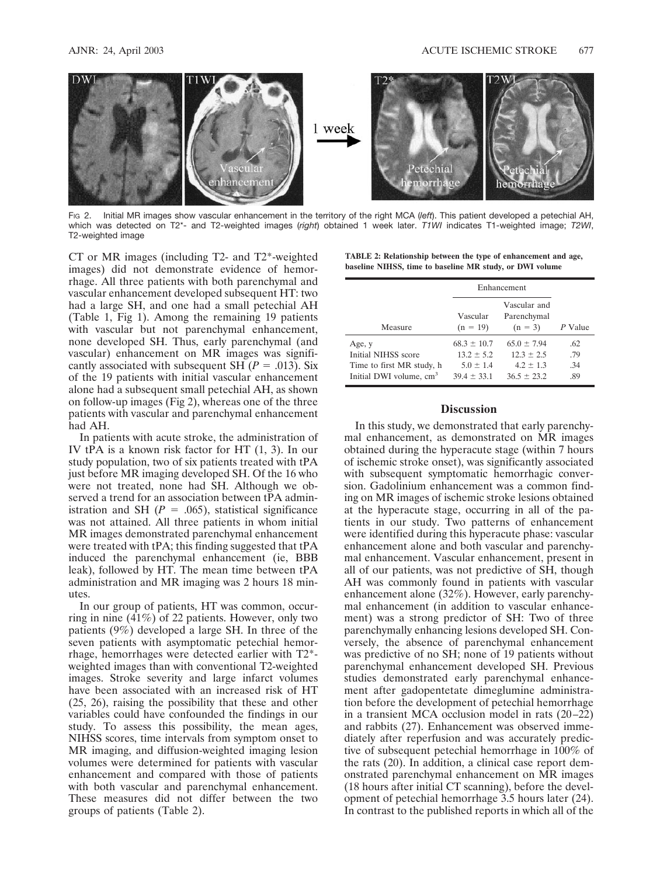

FIG 2. Initial MR images show vascular enhancement in the territory of the right MCA (*left*). This patient developed a petechial AH, which was detected on T2\*- and T2-weighted images (*right*) obtained 1 week later. *T1WI* indicates T1-weighted image; *T2WI*, T2-weighted image

CT or MR images (including T2- and T2\*-weighted images) did not demonstrate evidence of hemorrhage. All three patients with both parenchymal and vascular enhancement developed subsequent HT: two had a large SH, and one had a small petechial AH (Table 1, Fig 1). Among the remaining 19 patients with vascular but not parenchymal enhancement, none developed SH. Thus, early parenchymal (and vascular) enhancement on MR images was significantly associated with subsequent SH ( $P = .013$ ). Six of the 19 patients with initial vascular enhancement alone had a subsequent small petechial AH, as shown on follow-up images (Fig 2), whereas one of the three patients with vascular and parenchymal enhancement had AH.

In patients with acute stroke, the administration of IV tPA is a known risk factor for HT (1, 3). In our study population, two of six patients treated with tPA just before MR imaging developed SH. Of the 16 who were not treated, none had SH. Although we observed a trend for an association between tPA administration and SH  $(P = .065)$ , statistical significance was not attained. All three patients in whom initial MR images demonstrated parenchymal enhancement were treated with tPA; this finding suggested that tPA induced the parenchymal enhancement (ie, BBB leak), followed by HT. The mean time between tPA administration and MR imaging was 2 hours 18 minutes.

In our group of patients, HT was common, occurring in nine (41%) of 22 patients. However, only two patients (9%) developed a large SH. In three of the seven patients with asymptomatic petechial hemorrhage, hemorrhages were detected earlier with T2\* weighted images than with conventional T2-weighted images. Stroke severity and large infarct volumes have been associated with an increased risk of HT (25, 26), raising the possibility that these and other variables could have confounded the findings in our study. To assess this possibility, the mean ages, NIHSS scores, time intervals from symptom onset to MR imaging, and diffusion-weighted imaging lesion volumes were determined for patients with vascular enhancement and compared with those of patients with both vascular and parenchymal enhancement. These measures did not differ between the two groups of patients (Table 2).

| TABLE 2: Relationship between the type of enhancement and age, |  |  |
|----------------------------------------------------------------|--|--|
| baseline NIHSS, time to baseline MR study, or DWI volume       |  |  |

|                                     | Enhancement            |                                          |         |
|-------------------------------------|------------------------|------------------------------------------|---------|
| Measure                             | Vascular<br>$(n = 19)$ | Vascular and<br>Parenchymal<br>$(n = 3)$ | P Value |
| Age, y                              | $68.3 \pm 10.7$        | $65.0 \pm 7.94$                          | .62     |
| Initial NIHSS score                 | $13.2 \pm 5.2$         | $12.3 \pm 2.5$                           | .79     |
| Time to first MR study, h           | $5.0 \pm 1.4$          | $4.2 \pm 1.3$                            | .34     |
| Initial DWI volume, cm <sup>3</sup> | $39.4 \pm 33.1$        | $36.5 \pm 23.2$                          | .89     |

# **Discussion**

In this study, we demonstrated that early parenchymal enhancement, as demonstrated on MR images obtained during the hyperacute stage (within 7 hours of ischemic stroke onset), was significantly associated with subsequent symptomatic hemorrhagic conversion. Gadolinium enhancement was a common finding on MR images of ischemic stroke lesions obtained at the hyperacute stage, occurring in all of the patients in our study. Two patterns of enhancement were identified during this hyperacute phase: vascular enhancement alone and both vascular and parenchymal enhancement. Vascular enhancement, present in all of our patients, was not predictive of SH, though AH was commonly found in patients with vascular enhancement alone (32%). However, early parenchymal enhancement (in addition to vascular enhancement) was a strong predictor of SH: Two of three parenchymally enhancing lesions developed SH. Conversely, the absence of parenchymal enhancement was predictive of no SH; none of 19 patients without parenchymal enhancement developed SH. Previous studies demonstrated early parenchymal enhancement after gadopentetate dimeglumine administration before the development of petechial hemorrhage in a transient MCA occlusion model in rats (20–22) and rabbits (27). Enhancement was observed immediately after reperfusion and was accurately predictive of subsequent petechial hemorrhage in 100% of the rats (20). In addition, a clinical case report demonstrated parenchymal enhancement on MR images (18 hours after initial CT scanning), before the development of petechial hemorrhage 3.5 hours later (24). In contrast to the published reports in which all of the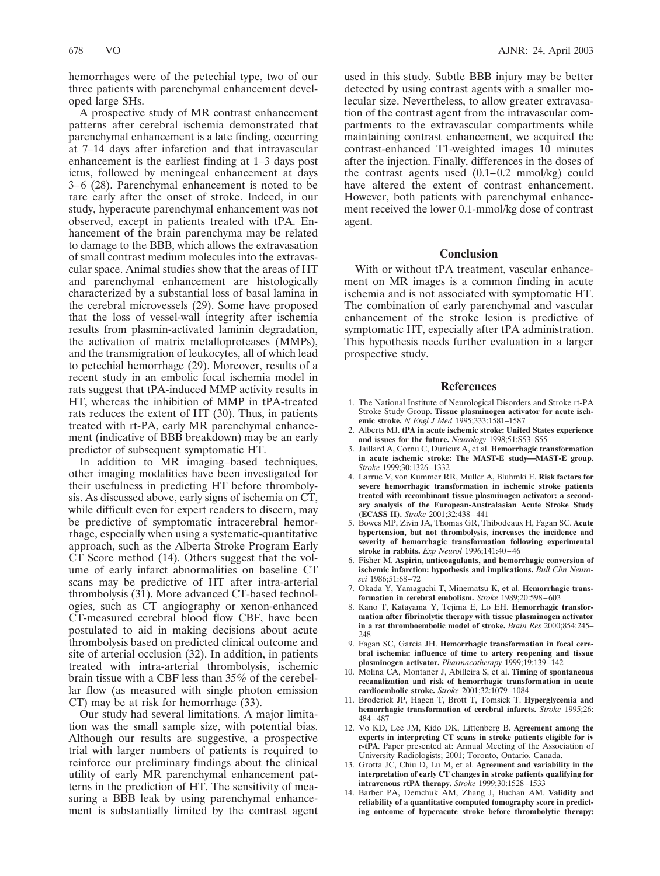hemorrhages were of the petechial type, two of our three patients with parenchymal enhancement developed large SHs.

A prospective study of MR contrast enhancement patterns after cerebral ischemia demonstrated that parenchymal enhancement is a late finding, occurring at 7–14 days after infarction and that intravascular enhancement is the earliest finding at 1–3 days post ictus, followed by meningeal enhancement at days 3–6 (28). Parenchymal enhancement is noted to be rare early after the onset of stroke. Indeed, in our study, hyperacute parenchymal enhancement was not observed, except in patients treated with tPA. Enhancement of the brain parenchyma may be related to damage to the BBB, which allows the extravasation of small contrast medium molecules into the extravascular space. Animal studies show that the areas of HT and parenchymal enhancement are histologically characterized by a substantial loss of basal lamina in the cerebral microvessels (29). Some have proposed that the loss of vessel-wall integrity after ischemia results from plasmin-activated laminin degradation, the activation of matrix metalloproteases (MMPs), and the transmigration of leukocytes, all of which lead to petechial hemorrhage (29). Moreover, results of a recent study in an embolic focal ischemia model in rats suggest that tPA-induced MMP activity results in HT, whereas the inhibition of MMP in tPA-treated rats reduces the extent of HT (30). Thus, in patients treated with rt-PA, early MR parenchymal enhancement (indicative of BBB breakdown) may be an early predictor of subsequent symptomatic HT.

In addition to MR imaging–based techniques, other imaging modalities have been investigated for their usefulness in predicting HT before thrombolysis. As discussed above, early signs of ischemia on CT, while difficult even for expert readers to discern, may be predictive of symptomatic intracerebral hemorrhage, especially when using a systematic-quantitative approach, such as the Alberta Stroke Program Early CT Score method (14). Others suggest that the volume of early infarct abnormalities on baseline CT scans may be predictive of HT after intra-arterial thrombolysis (31). More advanced CT-based technologies, such as CT angiography or xenon-enhanced CT-measured cerebral blood flow CBF, have been postulated to aid in making decisions about acute thrombolysis based on predicted clinical outcome and site of arterial occlusion (32). In addition, in patients treated with intra-arterial thrombolysis, ischemic brain tissue with a CBF less than 35% of the cerebellar flow (as measured with single photon emission CT) may be at risk for hemorrhage (33).

Our study had several limitations. A major limitation was the small sample size, with potential bias. Although our results are suggestive, a prospective trial with larger numbers of patients is required to reinforce our preliminary findings about the clinical utility of early MR parenchymal enhancement patterns in the prediction of HT. The sensitivity of measuring a BBB leak by using parenchymal enhancement is substantially limited by the contrast agent

used in this study. Subtle BBB injury may be better detected by using contrast agents with a smaller molecular size. Nevertheless, to allow greater extravasation of the contrast agent from the intravascular compartments to the extravascular compartments while maintaining contrast enhancement, we acquired the contrast-enhanced T1-weighted images 10 minutes after the injection. Finally, differences in the doses of the contrast agents used (0.1–0.2 mmol/kg) could have altered the extent of contrast enhancement. However, both patients with parenchymal enhancement received the lower 0.1-mmol/kg dose of contrast agent.

# **Conclusion**

With or without tPA treatment, vascular enhancement on MR images is a common finding in acute ischemia and is not associated with symptomatic HT. The combination of early parenchymal and vascular enhancement of the stroke lesion is predictive of symptomatic HT, especially after tPA administration. This hypothesis needs further evaluation in a larger prospective study.

## **References**

- 1. The National Institute of Neurological Disorders and Stroke rt-PA Stroke Study Group. **Tissue plasminogen activator for acute ischemic stroke.** *N Engl J Med* 1995;333:1581–1587
- 2. Alberts MJ. **tPA in acute ischemic stroke: United States experience and issues for the future.** *Neurology* 1998;51:S53–S55
- 3. Jaillard A, Cornu C, Durieux A, et al. **Hemorrhagic transformation in acute ischemic stroke: The MAST-E study—MAST-E group.** *Stroke* 1999;30:1326–1332
- 4. Larrue V, von Kummer RR, Muller A, Bluhmki E. **Risk factors for severe hemorrhagic transformation in ischemic stroke patients treated with recombinant tissue plasminogen activator: a secondary analysis of the European-Australasian Acute Stroke Study (ECASS II).** *Stroke* 2001;32:438–441
- 5. Bowes MP, Zivin JA, Thomas GR, Thibodeaux H, Fagan SC. **Acute hypertension, but not thrombolysis, increases the incidence and severity of hemorrhagic transformation following experimental stroke in rabbits.** *Exp Neurol* 1996;141:40–46
- 6. Fisher M. **Aspirin, anticoagulants, and hemorrhagic conversion of ischemic infarction: hypothesis and implications.** *Bull Clin Neurosci* 1986;51:68–72
- 7. Okada Y, Yamaguchi T, Minematsu K, et al. **Hemorrhagic transformation in cerebral embolism.** *Stroke* 1989;20:598–603
- 8. Kano T, Katayama Y, Tejima E, Lo EH. **Hemorrhagic transformation after fibrinolytic therapy with tissue plasminogen activator in a rat thromboembolic model of stroke.** *Brain Res* 2000;854:245– 248
- 9. Fagan SC, Garcia JH. **Hemorrhagic transformation in focal cerebral ischemia: influence of time to artery reopening and tissue plasminogen activator.** *Pharmacotherapy* 1999;19:139–142
- 10. Molina CA, Montaner J, Abilleira S, et al. **Timing of spontaneous recanalization and risk of hemorrhagic transformation in acute cardioembolic stroke.** *Stroke* 2001;32:1079–1084
- 11. Broderick JP, Hagen T, Brott T, Tomsick T. **Hyperglycemia and hemorrhagic transformation of cerebral infarcts.** *Stroke* 1995;26: 484–487
- 12. Vo KD, Lee JM, Kido DK, Littenberg B. **Agreement among the experts in interpreting CT scans in stroke patients eligible for iv r-tPA**. Paper presented at: Annual Meeting of the Association of University Radiologists; 2001; Toronto, Ontario, Canada.
- 13. Grotta JC, Chiu D, Lu M, et al. **Agreement and variability in the interpretation of early CT changes in stroke patients qualifying for intravenous rtPA therapy.** *Stroke* 1999;30:1528–1533
- 14. Barber PA, Demchuk AM, Zhang J, Buchan AM. **Validity and reliability of a quantitative computed tomography score in predicting outcome of hyperacute stroke before thrombolytic therapy:**